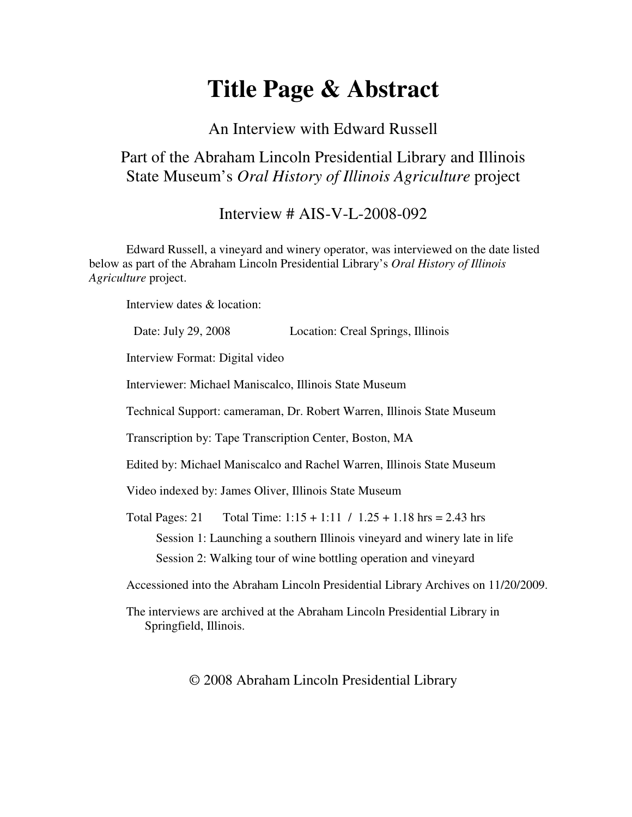# **Title Page & Abstract**

### An Interview with Edward Russell

## Part of the Abraham Lincoln Presidential Library and Illinois State Museum's *Oral History of Illinois Agriculture* project

### Interview # AIS-V-L-2008-092

Edward Russell, a vineyard and winery operator, was interviewed on the date listed below as part of the Abraham Lincoln Presidential Library's *Oral History of Illinois Agriculture* project.

Interview dates & location:

| Date: July 29, 2008<br>Location: Creal Springs, Illinois                                             |
|------------------------------------------------------------------------------------------------------|
| Interview Format: Digital video                                                                      |
| Interviewer: Michael Maniscalco, Illinois State Museum                                               |
| Technical Support: cameraman, Dr. Robert Warren, Illinois State Museum                               |
| Transcription by: Tape Transcription Center, Boston, MA                                              |
| Edited by: Michael Maniscalco and Rachel Warren, Illinois State Museum                               |
| Video indexed by: James Oliver, Illinois State Museum                                                |
| Total Time: $1:15 + 1:11 / 1.25 + 1.18$ hrs = 2.43 hrs<br>Total Pages: 21                            |
| Session 1: Launching a southern Illinois vineyard and winery late in life                            |
| Session 2: Walking tour of wine bottling operation and vineyard                                      |
| Accessioned into the Abraham Lincoln Presidential Library Archives on 11/20/2009.                    |
| The interviews are archived at the Abraham Lincoln Presidential Library in<br>Springfield, Illinois. |

© 2008 Abraham Lincoln Presidential Library